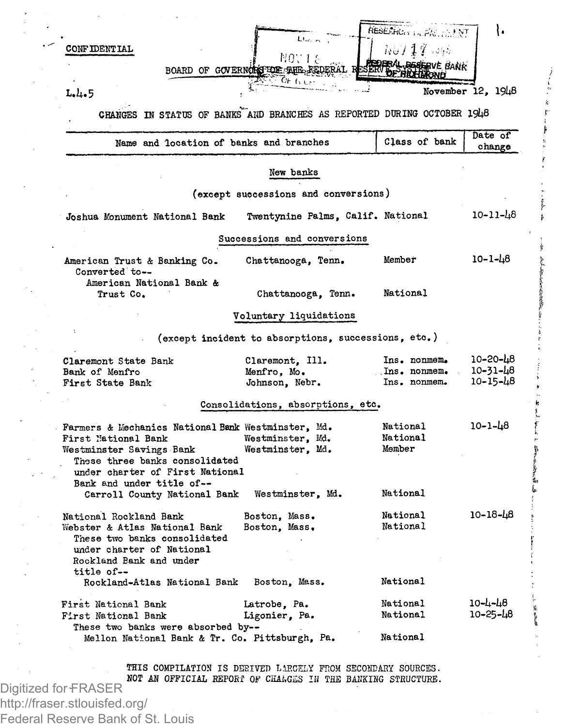| <b>CONFIDENTIAL</b>                                                                                                                                                                                                                     | Ltu, L<br>NOT1 8<br>BOARD OF GOVERNOTES FOR THE FEDERAL R<br>06 ti Lo | RESERRON IN PACTENT<br>$\hbar \omega$ / $17$ , $\omega \omega$<br>DERAL REGERVE BANK<br><b>ESERVE FRICHT</b> |                                        |
|-----------------------------------------------------------------------------------------------------------------------------------------------------------------------------------------------------------------------------------------|-----------------------------------------------------------------------|--------------------------------------------------------------------------------------------------------------|----------------------------------------|
| L, L, 5                                                                                                                                                                                                                                 |                                                                       |                                                                                                              | November 12, 1948                      |
| CHANGES IN STATUS OF BANKS AND BRANCHES AS REPORTED DURING OCTOBER 1948                                                                                                                                                                 |                                                                       |                                                                                                              |                                        |
| Name and location of banks and branches                                                                                                                                                                                                 |                                                                       | Class of bank                                                                                                | Date of<br>change                      |
|                                                                                                                                                                                                                                         | New banks                                                             |                                                                                                              |                                        |
|                                                                                                                                                                                                                                         | (except successions and conversions)                                  |                                                                                                              |                                        |
| Joshua Monument National Bank                                                                                                                                                                                                           | Twentynine Palms, Calif. National                                     |                                                                                                              | $10 - 11 - 48$                         |
|                                                                                                                                                                                                                                         | Successions and conversions                                           |                                                                                                              |                                        |
| American Trust & Banking Co.<br>Converted to--                                                                                                                                                                                          | Chattanooga, Tenn.                                                    | Member                                                                                                       | $10 - 1 - 48$                          |
| American National Bank &<br>Trust Co.                                                                                                                                                                                                   | Chattanooga, Tenn.                                                    | National                                                                                                     |                                        |
|                                                                                                                                                                                                                                         | Voluntary liquidations                                                |                                                                                                              |                                        |
|                                                                                                                                                                                                                                         | (except incident to absorptions, successions, etc.)                   |                                                                                                              |                                        |
| Claremont State Bank<br>Bank of Menfro<br>First State Bank                                                                                                                                                                              | Claremont, Ill.<br>Menfro, Mo.<br>Johnson, Nebr.                      | Ins. nonmem.<br>Ins. nonmem.<br>Ins. nonmem.                                                                 | 10-20-48<br>10-31-48<br>$10 - 15 - 48$ |
|                                                                                                                                                                                                                                         | Consolidations, absorptions, etc.                                     |                                                                                                              |                                        |
| Farmers & Mechanics National Bank Westminster, Md.<br>First National Bank<br>Westminster Savings Bank<br>These three banks consolidated<br>under charter of First National<br>Bank and under title of--<br>Carroll County National Bank | Westminster, Md.<br>Westminster, Md.<br>Westminster, Md.              | National<br>National<br>Member<br>National                                                                   | $10 - 1 - 48$                          |
| National Rockland Bank<br>Webster & Atlas National Bank<br>These two banks consolidated<br>under charter of National<br>Rockland Bank and under<br>title of--<br>Rockland-Atlas National Bank                                           | Boston, Mass.<br>Boston, Mass.<br>Boston, Mass.                       | National<br>National<br>National                                                                             | 10-18-48                               |
| First National Bank<br>First National Bank<br>These two banks were absorbed by--<br>Mellon National Bank & Tr. Co. Pittsburgh, Pa.                                                                                                      | Latrobe, Pa.<br>Ligonier, Pa.                                         | National<br>National<br>National                                                                             | 10-4-48<br>10-25-48                    |

THIS COMPILATION IS DEBIVET) LARGELY FROM SECONDARY SOURCES. NOT *AN OFFICIAL* REPORT OF CHAi,G2S *IB THE* BANKING STRUCTURE.

Digitized for FRASER http://fraser.stlouisfed.org/ Federal Reserve Bank of St. Louis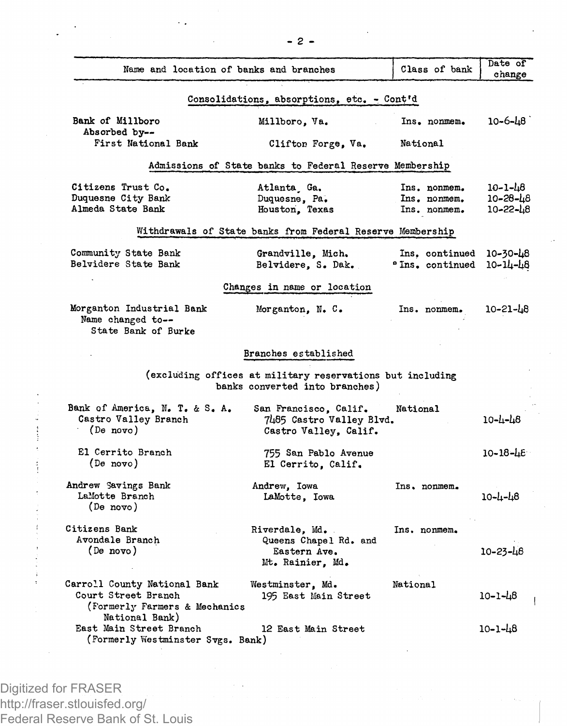| Name and location of banks and branches                                                                |                                                                                             | Class of bank                | Date of<br>change    |
|--------------------------------------------------------------------------------------------------------|---------------------------------------------------------------------------------------------|------------------------------|----------------------|
|                                                                                                        | Consolidations, absorptions, etc. - Cont'd                                                  |                              |                      |
| Bank of Millboro<br>Absorbed by--                                                                      | Millboro, Va.                                                                               | Ins. nonmem.                 | 10–6–48              |
| First National Bank                                                                                    | Clifton Forge, Va.                                                                          | National                     |                      |
|                                                                                                        | Admissions of State banks to Federal Reserve Membership                                     |                              |                      |
| Citizens Trust Co.                                                                                     | Atlanta Ga.                                                                                 | Ins. nonmem.                 | 10-1-48              |
| Duquesne City Bank<br>Almeda State Bank                                                                | Duquesne, Pa.<br>Houston, Texas                                                             | Ins. nonmem.<br>Ins. nonmem. | 10-28-48<br>10-22-48 |
|                                                                                                        | Withdrawals of State banks from Federal Reserve Membership                                  |                              |                      |
| Community State Bank                                                                                   | Grandville, Mich.                                                                           | Ins, continued               | 10-30-48             |
| Belvidere State Bank                                                                                   | Belvidere, S. Dak.                                                                          | <b>"Ins. continued</b>       | 10-14-48             |
|                                                                                                        | Changes in name or location                                                                 |                              |                      |
| Morganton Industrial Bank<br>Name changed to --<br>State Bank of Burke                                 | Morganton. N.C.                                                                             | Ins. nonmem.                 | 10-21-48             |
|                                                                                                        | Branches established                                                                        |                              |                      |
|                                                                                                        | (excluding offices at military reservations but including<br>banks converted into branches) |                              |                      |
| Bank of America, N. T. & S. A.<br>Castro Valley Branch<br>(De novo)                                    | San Francisco, Calif.<br>7485 Castro Valley Blvd.<br>Castro Valley, Calif.                  | National                     | 10-4-48              |
| El Cerrito Branch<br>(De novo)                                                                         | 755 San Pablo Avenue<br>El Cerrito, Calif.                                                  |                              | $10 - 18 - 16$       |
| Andrew Savings Bank<br>LaMotte Branch<br>(De novo)                                                     | Andrew, Iowa<br>LaMotte, Iowa                                                               | Ins. nonmem.                 | 10-4-48              |
| Citizens Bank<br>Avondale Branch<br>(De novo)                                                          | Riverdale, Md.<br>Queens Chapel Rd. and<br>Eastern Ave.<br>Mt. Rainier, Md.                 | Ins. nonmem.                 | $10 - 23 - 48$       |
| Carroll County National Bank<br>Court Street Branch<br>(Formerly Farmers & Mechanics<br>National Bank) | Westminster, Md.<br>195 East Main Street                                                    | National                     | 10-1-48              |
| East Main Street Branch<br>(Formerly Westminster Svgs. Bank)                                           | 12 East Main Street                                                                         |                              | 10-1-48              |

Digitized for FRASER http://fraser.stlouisfed.org/ Federal Reserve Bank of St. Louis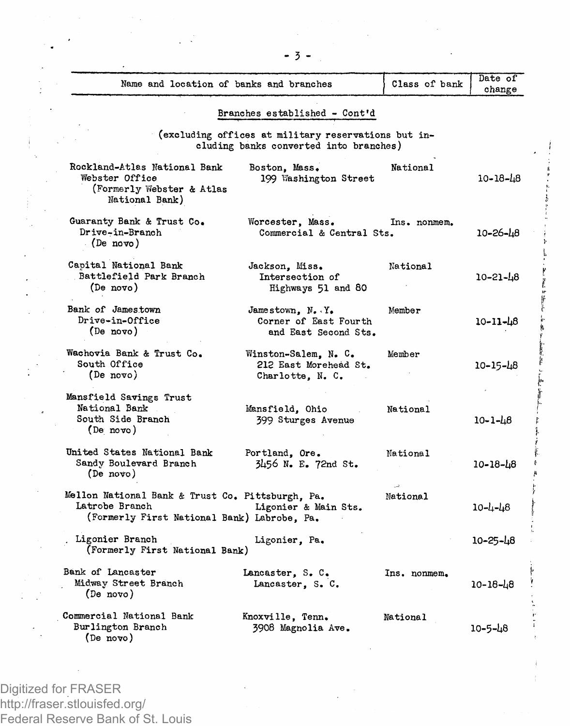| Name and location of banks and branches                                                                           |                                                                                               | Class of bank | Date of<br>change |
|-------------------------------------------------------------------------------------------------------------------|-----------------------------------------------------------------------------------------------|---------------|-------------------|
|                                                                                                                   | Branches established - Cont'd                                                                 |               |                   |
|                                                                                                                   | (excluding offices at military reservations but in-<br>cluding banks converted into branches) |               |                   |
| Rockland-Atlas National Bank<br>Webster Office<br>(Formerly Webster & Atlas<br>National Bank)                     | Boston, Mass.<br>199 Washington Street                                                        | National      | $10 - 18 - 48$    |
| Guaranty Bank & Trust Co.<br>Drive-in-Branch<br>$(De \text{ novo})$                                               | Worcester, Mass.<br>Commercial & Central Sts.                                                 | Ins. nonmem.  | 10-26-48          |
| Capital National Bank<br>Battlefield Park Branch<br>(De novo)                                                     | Jackson. Miss.<br>Intersection of<br>Highways 51 and 80                                       | National      | 10-21-48          |
| Bank of Jamestown<br>Drive-in-Office<br>(De novo)                                                                 | Jamestown, N. Y.<br>Corner of East Fourth<br>and East Second Sts.                             | Member        | 10-11-48          |
| Wachovia Bank & Trust Co.<br>South Office<br>(De novo)                                                            | Winston-Salem. N. C.<br>212 East Morehead St.<br>Charlotte, N. C.                             | Member        | 10-15-48          |
| Mansfield Savings Trust<br>National Bank<br>South Side Branch<br>(De novo)                                        | Mansfield, Ohio<br>399 Sturges Avenue                                                         | National      | 10-1-48           |
| United States National Bank<br>Sandy Boulevard Branch<br>(De novo)                                                | Portland, Ore.<br>3456 N. E. 72nd St.                                                         | National      | 10-18-48          |
| Mellon National Bank & Trust Co. Pittsburgh. Pa.<br>Latrobe Branch<br>(Formerly First National Bank) Labrobe, Pa. | Ligonier & Main Sts.                                                                          | National      | 10-4-48           |
| Ligonier Branch<br>(Formerly First National Bank)                                                                 | Ligonier, Pa.                                                                                 |               | 10-25-48          |
| Bank of Lancaster<br>Midway Street Branch<br>(De novo)                                                            | Lancaster, S. C.<br>Lancaster, S. C.                                                          | Ins. nonmem.  | $10 - 18 - 18$    |
| Commercial National Bank<br>Burlington Branch<br>(De novo)                                                        | Knoxville, Tenn.<br>3908 Magnolia Ave.                                                        | National      | 10-5-48           |

Digitized for FRASER http://fraser.stlouisfed.org/ Federal Reserve Bank of St. Louis